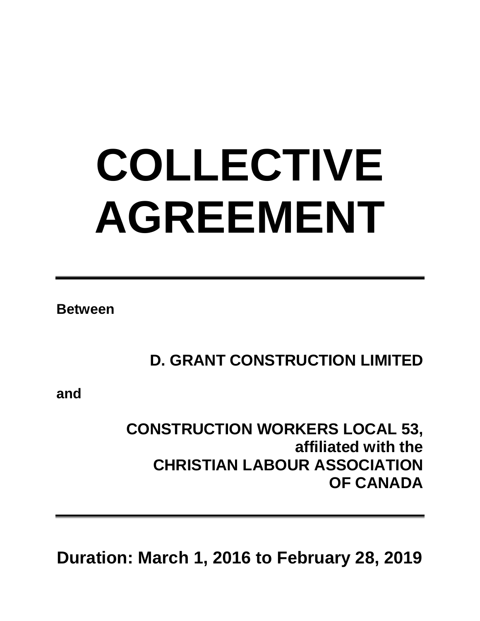# **COLLECTIVE AGREEMENT**

**Between**

**D. GRANT CONSTRUCTION LIMITED**

**and**

# **CONSTRUCTION WORKERS LOCAL 53, affiliated with the CHRISTIAN LABOUR ASSOCIATION OF CANADA**

**Duration: March 1, 2016 to February 28, 2019**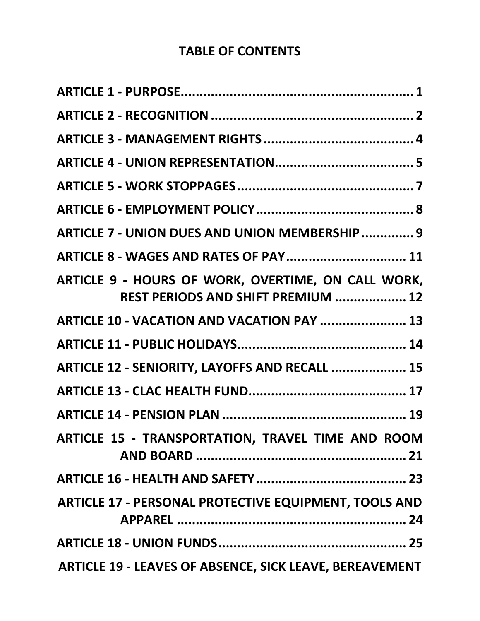# **TABLE OF CONTENTS**

| ARTICLE 7 - UNION DUES AND UNION MEMBERSHIP  9                                           |
|------------------------------------------------------------------------------------------|
| <b>ARTICLE 8 - WAGES AND RATES OF PAY 11</b>                                             |
| ARTICLE 9 - HOURS OF WORK, OVERTIME, ON CALL WORK,<br>REST PERIODS AND SHIFT PREMIUM  12 |
| ARTICLE 10 - VACATION AND VACATION PAY  13                                               |
|                                                                                          |
| ARTICLE 12 - SENIORITY, LAYOFFS AND RECALL  15                                           |
|                                                                                          |
|                                                                                          |
| ARTICLE 15 - TRANSPORTATION, TRAVEL TIME AND ROOM                                        |
|                                                                                          |
| <b>ARTICLE 17 - PERSONAL PROTECTIVE EQUIPMENT, TOOLS AND</b>                             |
|                                                                                          |
| <b>ARTICLE 19 - LEAVES OF ABSENCE, SICK LEAVE, BEREAVEMENT</b>                           |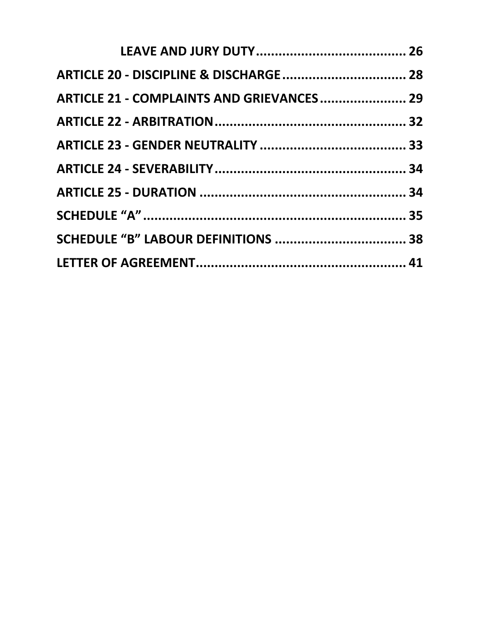| <b>ARTICLE 21 - COMPLAINTS AND GRIEVANCES 29</b> |  |
|--------------------------------------------------|--|
|                                                  |  |
|                                                  |  |
|                                                  |  |
|                                                  |  |
|                                                  |  |
|                                                  |  |
|                                                  |  |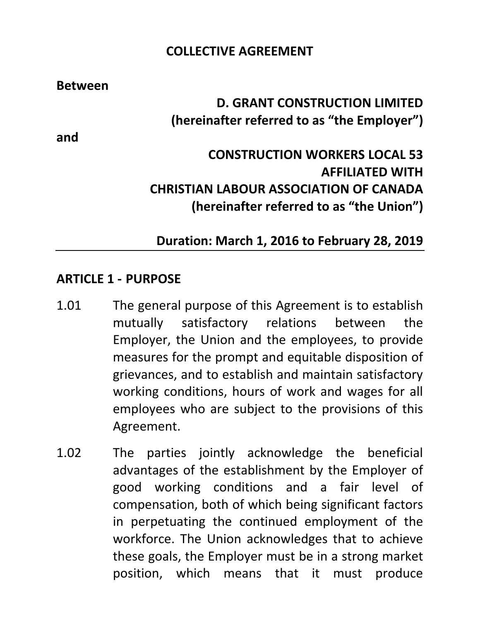#### **COLLECTIVE AGREEMENT**

**Between**

**D. GRANT CONSTRUCTION LIMITED (hereinafter referred to as "the Employer")**

**CONSTRUCTION WORKERS LOCAL 53 AFFILIATED WITH CHRISTIAN LABOUR ASSOCIATION OF CANADA (hereinafter referred to as "the Union")**

## **Duration: March 1, 2016 to February 28, 2019**

#### <span id="page-4-0"></span>**ARTICLE 1 - PURPOSE**

- 1.01 The general purpose of this Agreement is to establish mutually satisfactory relations between the Employer, the Union and the employees, to provide measures for the prompt and equitable disposition of grievances, and to establish and maintain satisfactory working conditions, hours of work and wages for all employees who are subject to the provisions of this Agreement.
- 1.02 The parties jointly acknowledge the beneficial advantages of the establishment by the Employer of good working conditions and a fair level of compensation, both of which being significant factors in perpetuating the continued employment of the workforce. The Union acknowledges that to achieve these goals, the Employer must be in a strong market position, which means that it must produce

**and**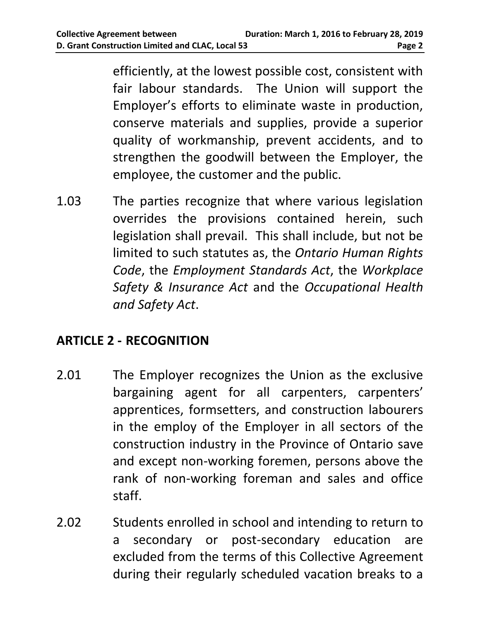efficiently, at the lowest possible cost, consistent with fair labour standards. The Union will support the Employer's efforts to eliminate waste in production, conserve materials and supplies, provide a superior quality of workmanship, prevent accidents, and to strengthen the goodwill between the Employer, the employee, the customer and the public.

1.03 The parties recognize that where various legislation overrides the provisions contained herein, such legislation shall prevail. This shall include, but not be limited to such statutes as, the *Ontario Human Rights Code*, the *Employment Standards Act*, the *Workplace Safety & Insurance Act* and the *Occupational Health and Safety Act*.

# <span id="page-5-0"></span>**ARTICLE 2 - RECOGNITION**

- 2.01 The Employer recognizes the Union as the exclusive bargaining agent for all carpenters, carpenters' apprentices, formsetters, and construction labourers in the employ of the Employer in all sectors of the construction industry in the Province of Ontario save and except non-working foremen, persons above the rank of non-working foreman and sales and office staff.
- 2.02 Students enrolled in school and intending to return to a secondary or post-secondary education are excluded from the terms of this Collective Agreement during their regularly scheduled vacation breaks to a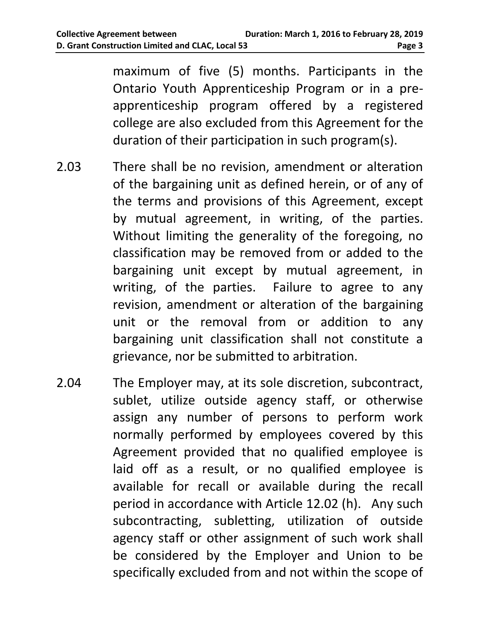maximum of five (5) months. Participants in the Ontario Youth Apprenticeship Program or in a preapprenticeship program offered by a registered college are also excluded from this Agreement for the duration of their participation in such program(s).

- 2.03 There shall be no revision, amendment or alteration of the bargaining unit as defined herein, or of any of the terms and provisions of this Agreement, except by mutual agreement, in writing, of the parties. Without limiting the generality of the foregoing, no classification may be removed from or added to the bargaining unit except by mutual agreement, in writing, of the parties. Failure to agree to any revision, amendment or alteration of the bargaining unit or the removal from or addition to any bargaining unit classification shall not constitute a grievance, nor be submitted to arbitration.
- 2.04 The Employer may, at its sole discretion, subcontract, sublet, utilize outside agency staff, or otherwise assign any number of persons to perform work normally performed by employees covered by this Agreement provided that no qualified employee is laid off as a result, or no qualified employee is available for recall or available during the recall period in accordance with Article 12.02 (h). Any such subcontracting, subletting, utilization of outside agency staff or other assignment of such work shall be considered by the Employer and Union to be specifically excluded from and not within the scope of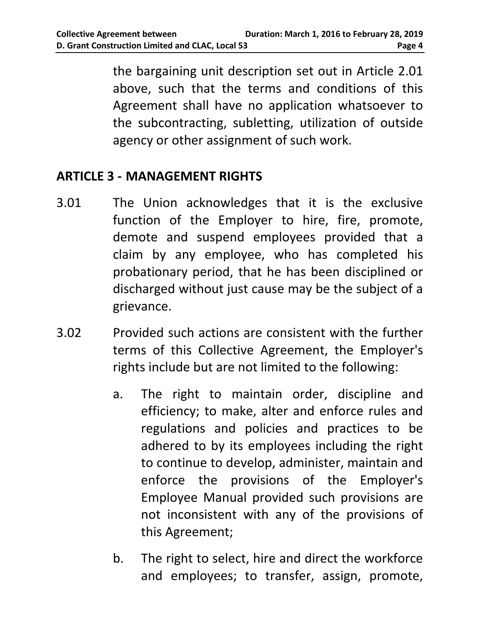the bargaining unit description set out in Article 2.01 above, such that the terms and conditions of this Agreement shall have no application whatsoever to the subcontracting, subletting, utilization of outside agency or other assignment of such work.

#### <span id="page-7-0"></span>**ARTICLE 3 - MANAGEMENT RIGHTS**

- 3.01 The Union acknowledges that it is the exclusive function of the Employer to hire, fire, promote, demote and suspend employees provided that a claim by any employee, who has completed his probationary period, that he has been disciplined or discharged without just cause may be the subject of a grievance.
- 3.02 Provided such actions are consistent with the further terms of this Collective Agreement, the Employer's rights include but are not limited to the following:
	- a. The right to maintain order, discipline and efficiency; to make, alter and enforce rules and regulations and policies and practices to be adhered to by its employees including the right to continue to develop, administer, maintain and enforce the provisions of the Employer's Employee Manual provided such provisions are not inconsistent with any of the provisions of this Agreement;
	- b. The right to select, hire and direct the workforce and employees; to transfer, assign, promote,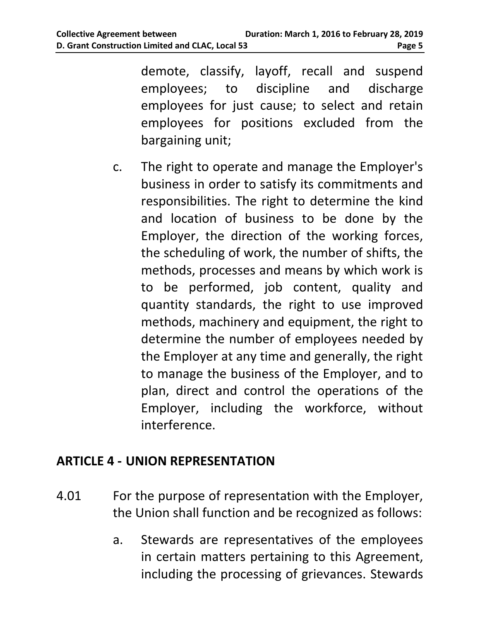demote, classify, layoff, recall and suspend employees; to discipline and discharge employees for just cause; to select and retain employees for positions excluded from the bargaining unit;

c. The right to operate and manage the Employer's business in order to satisfy its commitments and responsibilities. The right to determine the kind and location of business to be done by the Employer, the direction of the working forces, the scheduling of work, the number of shifts, the methods, processes and means by which work is to be performed, job content, quality and quantity standards, the right to use improved methods, machinery and equipment, the right to determine the number of employees needed by the Employer at any time and generally, the right to manage the business of the Employer, and to plan, direct and control the operations of the Employer, including the workforce, without interference.

## <span id="page-8-0"></span>**ARTICLE 4 - UNION REPRESENTATION**

- 4.01 For the purpose of representation with the Employer, the Union shall function and be recognized as follows:
	- a. Stewards are representatives of the employees in certain matters pertaining to this Agreement, including the processing of grievances. Stewards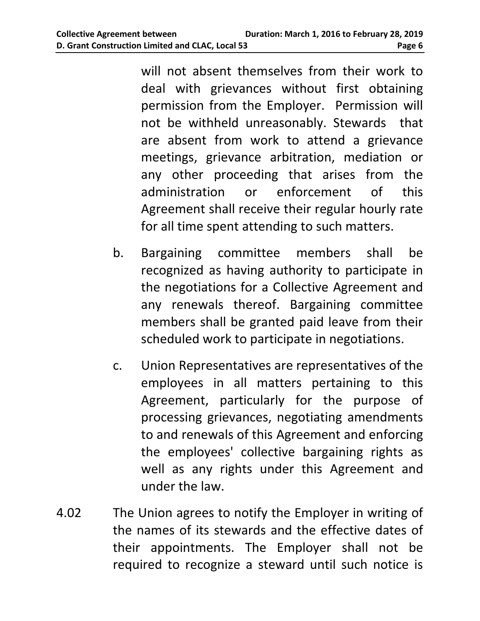will not absent themselves from their work to deal with grievances without first obtaining permission from the Employer. Permission will not be withheld unreasonably. Stewards that are absent from work to attend a grievance meetings, grievance arbitration, mediation or any other proceeding that arises from the administration or enforcement of this Agreement shall receive their regular hourly rate for all time spent attending to such matters.

- b. Bargaining committee members shall be recognized as having authority to participate in the negotiations for a Collective Agreement and any renewals thereof. Bargaining committee members shall be granted paid leave from their scheduled work to participate in negotiations.
- c. Union Representatives are representatives of the employees in all matters pertaining to this Agreement, particularly for the purpose of processing grievances, negotiating amendments to and renewals of this Agreement and enforcing the employees' collective bargaining rights as well as any rights under this Agreement and under the law.
- 4.02 The Union agrees to notify the Employer in writing of the names of its stewards and the effective dates of their appointments. The Employer shall not be required to recognize a steward until such notice is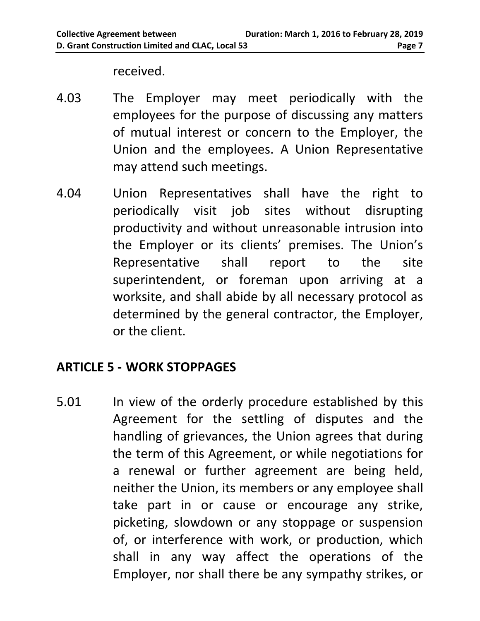received.

- 4.03 The Employer may meet periodically with the employees for the purpose of discussing any matters of mutual interest or concern to the Employer, the Union and the employees. A Union Representative may attend such meetings.
- 4.04 Union Representatives shall have the right to periodically visit job sites without disrupting productivity and without unreasonable intrusion into the Employer or its clients' premises. The Union's Representative shall report to the site superintendent, or foreman upon arriving at a worksite, and shall abide by all necessary protocol as determined by the general contractor, the Employer, or the client.

# <span id="page-10-0"></span>**ARTICLE 5 - WORK STOPPAGES**

5.01 In view of the orderly procedure established by this Agreement for the settling of disputes and the handling of grievances, the Union agrees that during the term of this Agreement, or while negotiations for a renewal or further agreement are being held, neither the Union, its members or any employee shall take part in or cause or encourage any strike, picketing, slowdown or any stoppage or suspension of, or interference with work, or production, which shall in any way affect the operations of the Employer, nor shall there be any sympathy strikes, or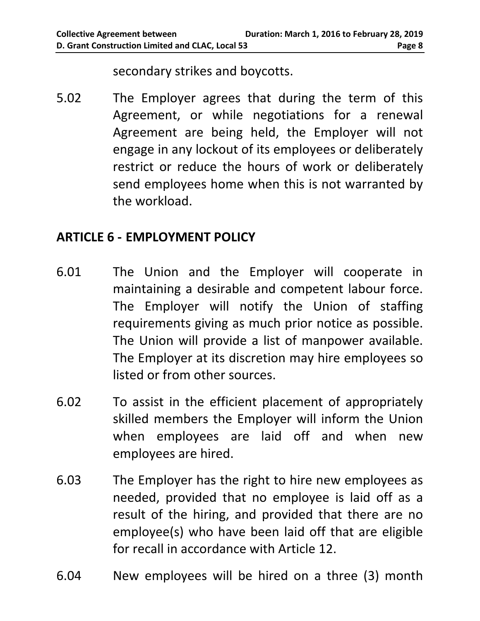secondary strikes and boycotts.

5.02 The Employer agrees that during the term of this Agreement, or while negotiations for a renewal Agreement are being held, the Employer will not engage in any lockout of its employees or deliberately restrict or reduce the hours of work or deliberately send employees home when this is not warranted by the workload.

## <span id="page-11-0"></span>**ARTICLE 6 - EMPLOYMENT POLICY**

- 6.01 The Union and the Employer will cooperate in maintaining a desirable and competent labour force. The Employer will notify the Union of staffing requirements giving as much prior notice as possible. The Union will provide a list of manpower available. The Employer at its discretion may hire employees so listed or from other sources.
- 6.02 To assist in the efficient placement of appropriately skilled members the Employer will inform the Union when employees are laid off and when new employees are hired.
- 6.03 The Employer has the right to hire new employees as needed, provided that no employee is laid off as a result of the hiring, and provided that there are no employee(s) who have been laid off that are eligible for recall in accordance with Article 12.
- 6.04 New employees will be hired on a three (3) month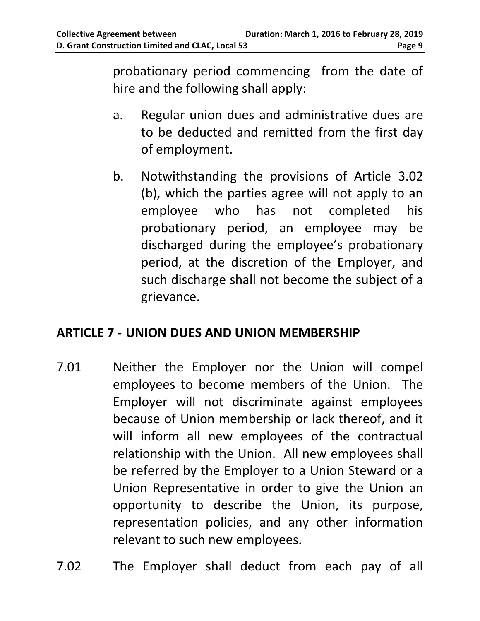probationary period commencing from the date of hire and the following shall apply:

- a. Regular union dues and administrative dues are to be deducted and remitted from the first day of employment.
- b. Notwithstanding the provisions of Article 3.02 (b), which the parties agree will not apply to an employee who has not completed his probationary period, an employee may be discharged during the employee's probationary period, at the discretion of the Employer, and such discharge shall not become the subject of a grievance.

## <span id="page-12-0"></span>**ARTICLE 7 - UNION DUES AND UNION MEMBERSHIP**

- 7.01 Neither the Employer nor the Union will compel employees to become members of the Union. The Employer will not discriminate against employees because of Union membership or lack thereof, and it will inform all new employees of the contractual relationship with the Union. All new employees shall be referred by the Employer to a Union Steward or a Union Representative in order to give the Union an opportunity to describe the Union, its purpose, representation policies, and any other information relevant to such new employees.
- 7.02 The Employer shall deduct from each pay of all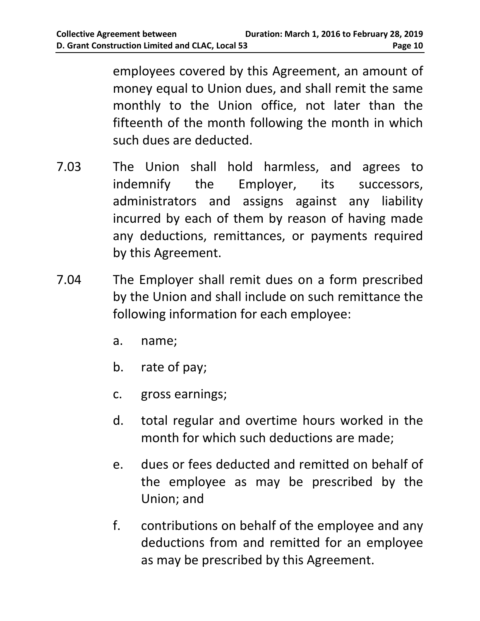employees covered by this Agreement, an amount of money equal to Union dues, and shall remit the same monthly to the Union office, not later than the fifteenth of the month following the month in which such dues are deducted.

- 7.03 The Union shall hold harmless, and agrees to indemnify the Employer, its successors, administrators and assigns against any liability incurred by each of them by reason of having made any deductions, remittances, or payments required by this Agreement.
- 7.04 The Employer shall remit dues on a form prescribed by the Union and shall include on such remittance the following information for each employee:
	- a. name;
	- b. rate of pay;
	- c. gross earnings;
	- d. total regular and overtime hours worked in the month for which such deductions are made;
	- e. dues or fees deducted and remitted on behalf of the employee as may be prescribed by the Union; and
	- f. contributions on behalf of the employee and any deductions from and remitted for an employee as may be prescribed by this Agreement.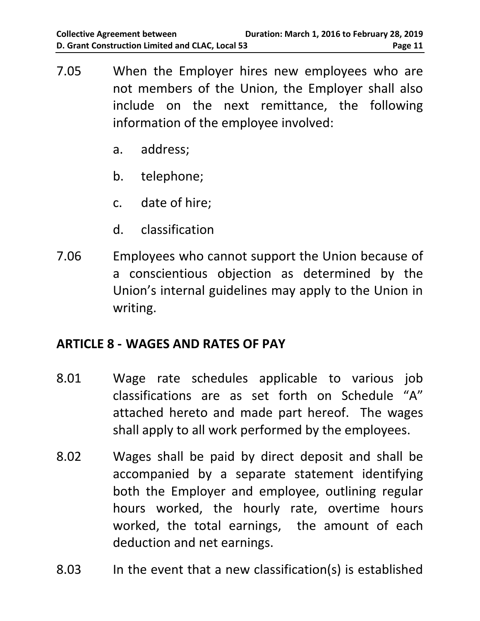- 7.05 When the Employer hires new employees who are not members of the Union, the Employer shall also include on the next remittance, the following information of the employee involved:
	- a. address;
	- b. telephone;
	- c. date of hire;
	- d. classification
- 7.06 Employees who cannot support the Union because of a conscientious objection as determined by the Union's internal guidelines may apply to the Union in writing.

## <span id="page-14-0"></span>**ARTICLE 8 - WAGES AND RATES OF PAY**

- 8.01 Wage rate schedules applicable to various job classifications are as set forth on Schedule "A" attached hereto and made part hereof. The wages shall apply to all work performed by the employees.
- 8.02 Wages shall be paid by direct deposit and shall be accompanied by a separate statement identifying both the Employer and employee, outlining regular hours worked, the hourly rate, overtime hours worked, the total earnings, the amount of each deduction and net earnings.
- 8.03 In the event that a new classification(s) is established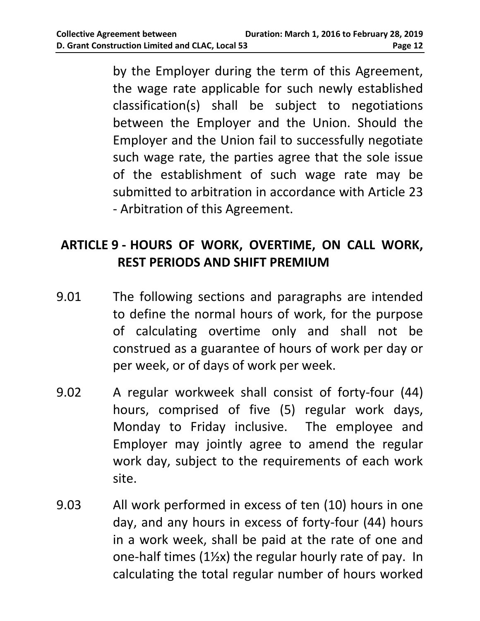by the Employer during the term of this Agreement, the wage rate applicable for such newly established classification(s) shall be subject to negotiations between the Employer and the Union. Should the Employer and the Union fail to successfully negotiate such wage rate, the parties agree that the sole issue of the establishment of such wage rate may be submitted to arbitration in accordance with Article 23 - Arbitration of this Agreement.

# <span id="page-15-0"></span>**ARTICLE 9 - HOURS OF WORK, OVERTIME, ON CALL WORK, REST PERIODS AND SHIFT PREMIUM**

- 9.01 The following sections and paragraphs are intended to define the normal hours of work, for the purpose of calculating overtime only and shall not be construed as a guarantee of hours of work per day or per week, or of days of work per week.
- 9.02 A regular workweek shall consist of forty-four (44) hours, comprised of five (5) regular work days, Monday to Friday inclusive. The employee and Employer may jointly agree to amend the regular work day, subject to the requirements of each work site.
- 9.03 All work performed in excess of ten (10) hours in one day, and any hours in excess of forty-four (44) hours in a work week, shall be paid at the rate of one and one-half times (1½x) the regular hourly rate of pay. In calculating the total regular number of hours worked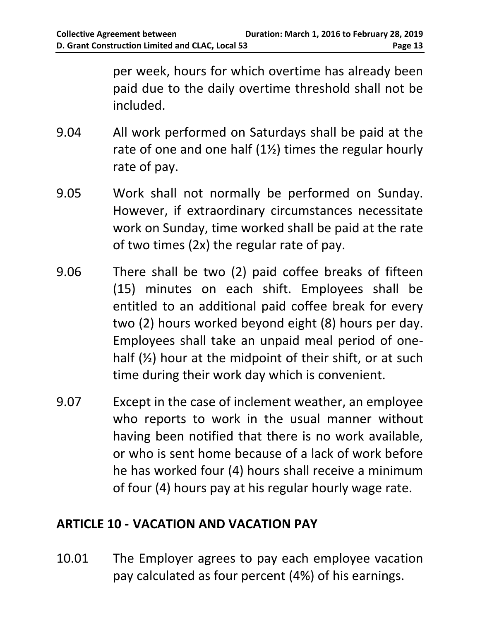per week, hours for which overtime has already been paid due to the daily overtime threshold shall not be included.

- 9.04 All work performed on Saturdays shall be paid at the rate of one and one half  $(12)$  times the regular hourly rate of pay.
- 9.05 Work shall not normally be performed on Sunday. However, if extraordinary circumstances necessitate work on Sunday, time worked shall be paid at the rate of two times (2x) the regular rate of pay.
- 9.06 There shall be two (2) paid coffee breaks of fifteen (15) minutes on each shift. Employees shall be entitled to an additional paid coffee break for every two (2) hours worked beyond eight (8) hours per day. Employees shall take an unpaid meal period of onehalf  $(\frac{1}{2})$  hour at the midpoint of their shift, or at such time during their work day which is convenient.
- 9.07 Except in the case of inclement weather, an employee who reports to work in the usual manner without having been notified that there is no work available, or who is sent home because of a lack of work before he has worked four (4) hours shall receive a minimum of four (4) hours pay at his regular hourly wage rate.

#### <span id="page-16-0"></span>**ARTICLE 10 - VACATION AND VACATION PAY**

10.01 The Employer agrees to pay each employee vacation pay calculated as four percent (4%) of his earnings.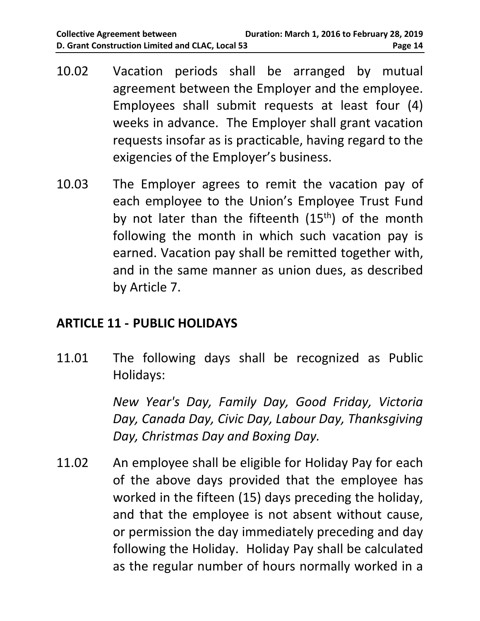- 10.02 Vacation periods shall be arranged by mutual agreement between the Employer and the employee. Employees shall submit requests at least four (4) weeks in advance. The Employer shall grant vacation requests insofar as is practicable, having regard to the exigencies of the Employer's business.
- 10.03 The Employer agrees to remit the vacation pay of each employee to the Union's Employee Trust Fund by not later than the fifteenth  $(15<sup>th</sup>)$  of the month following the month in which such vacation pay is earned. Vacation pay shall be remitted together with, and in the same manner as union dues, as described by Article 7.

## <span id="page-17-0"></span>**ARTICLE 11 - PUBLIC HOLIDAYS**

11.01 The following days shall be recognized as Public Holidays:

> *New Year's Day, Family Day, Good Friday, Victoria Day, Canada Day, Civic Day, Labour Day, Thanksgiving Day, Christmas Day and Boxing Day.*

11.02 An employee shall be eligible for Holiday Pay for each of the above days provided that the employee has worked in the fifteen (15) days preceding the holiday, and that the employee is not absent without cause, or permission the day immediately preceding and day following the Holiday. Holiday Pay shall be calculated as the regular number of hours normally worked in a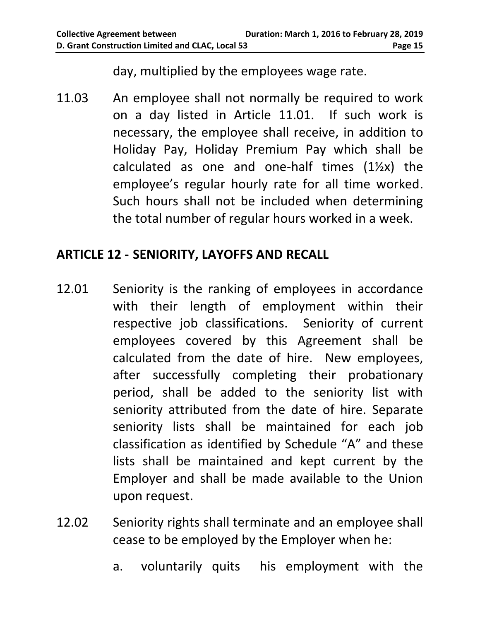day, multiplied by the employees wage rate.

11.03 An employee shall not normally be required to work on a day listed in Article 11.01. If such work is necessary, the employee shall receive, in addition to Holiday Pay, Holiday Premium Pay which shall be calculated as one and one-half times  $(1\frac{1}{2}x)$  the employee's regular hourly rate for all time worked. Such hours shall not be included when determining the total number of regular hours worked in a week.

## <span id="page-18-0"></span>**ARTICLE 12 - SENIORITY, LAYOFFS AND RECALL**

- 12.01 Seniority is the ranking of employees in accordance with their length of employment within their respective job classifications. Seniority of current employees covered by this Agreement shall be calculated from the date of hire. New employees, after successfully completing their probationary period, shall be added to the seniority list with seniority attributed from the date of hire. Separate seniority lists shall be maintained for each job classification as identified by Schedule "A" and these lists shall be maintained and kept current by the Employer and shall be made available to the Union upon request.
- 12.02 Seniority rights shall terminate and an employee shall cease to be employed by the Employer when he:
	- a. voluntarily quits his employment with the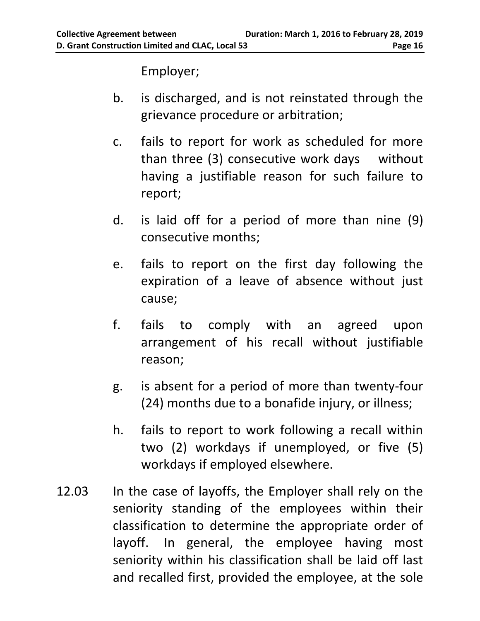Employer;

- b. is discharged, and is not reinstated through the grievance procedure or arbitration;
- c. fails to report for work as scheduled for more than three (3) consecutive work days without having a justifiable reason for such failure to report;
- d. is laid off for a period of more than nine (9) consecutive months;
- e. fails to report on the first day following the expiration of a leave of absence without just cause;
- f. fails to comply with an agreed upon arrangement of his recall without justifiable reason;
- g. is absent for a period of more than twenty-four (24) months due to a bonafide injury, or illness;
- h. fails to report to work following a recall within two (2) workdays if unemployed, or five (5) workdays if employed elsewhere.
- 12.03 In the case of layoffs, the Employer shall rely on the seniority standing of the employees within their classification to determine the appropriate order of layoff. In general, the employee having most seniority within his classification shall be laid off last and recalled first, provided the employee, at the sole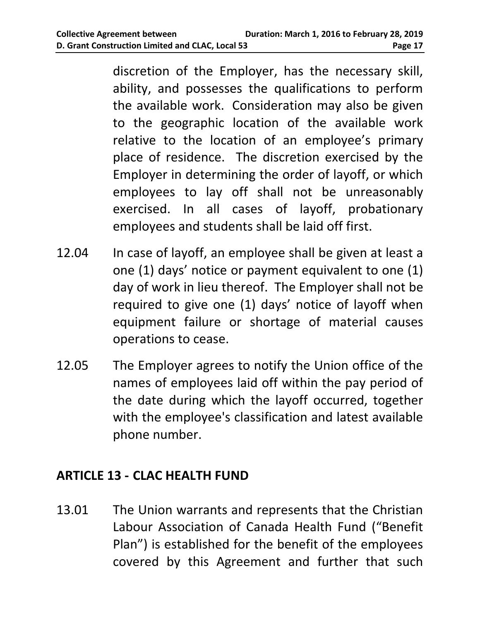discretion of the Employer, has the necessary skill, ability, and possesses the qualifications to perform the available work. Consideration may also be given to the geographic location of the available work relative to the location of an employee's primary place of residence. The discretion exercised by the Employer in determining the order of layoff, or which employees to lay off shall not be unreasonably exercised. In all cases of layoff, probationary employees and students shall be laid off first.

- 12.04 In case of layoff, an employee shall be given at least a one (1) days' notice or payment equivalent to one (1) day of work in lieu thereof. The Employer shall not be required to give one (1) days' notice of layoff when equipment failure or shortage of material causes operations to cease.
- 12.05 The Employer agrees to notify the Union office of the names of employees laid off within the pay period of the date during which the layoff occurred, together with the employee's classification and latest available phone number.

#### <span id="page-20-0"></span>**ARTICLE 13 - CLAC HEALTH FUND**

13.01 The Union warrants and represents that the Christian Labour Association of Canada Health Fund ("Benefit Plan") is established for the benefit of the employees covered by this Agreement and further that such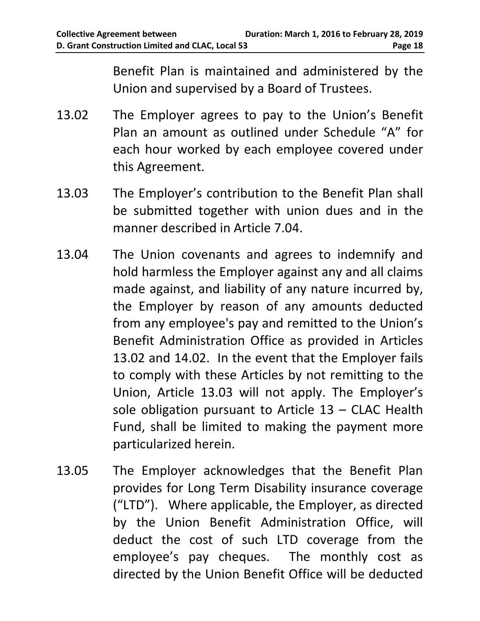<span id="page-21-0"></span>Benefit Plan is maintained and administered by the Union and supervised by a Board of Trustees.

- 13.02 The Employer agrees to pay to the Union's Benefit Plan an amount as outlined under Schedule "A" for each hour worked by each employee covered under this Agreement.
- 13.03 The Employer's contribution to the Benefit Plan shall be submitted together with union dues and in the manner described in Article 7.04.
- 13.04 The Union covenants and agrees to indemnify and hold harmless the Employer against any and all claims made against, and liability of any nature incurred by, the Employer by reason of any amounts deducted from any employee's pay and remitted to the Union's Benefit Administration Office as provided in Articles [13.02](#page-21-0) and [14.02.](#page-22-1) In the event that the Employer fails to comply with these Articles by not remitting to the Union, Article 13.03 will not apply. The Employer's sole obligation pursuant to Article 13 – CLAC Health Fund, shall be limited to making the payment more particularized herein.
- 13.05 The Employer acknowledges that the Benefit Plan provides for Long Term Disability insurance coverage ("LTD"). Where applicable, the Employer, as directed by the Union Benefit Administration Office, will deduct the cost of such LTD coverage from the employee's pay cheques. The monthly cost as directed by the Union Benefit Office will be deducted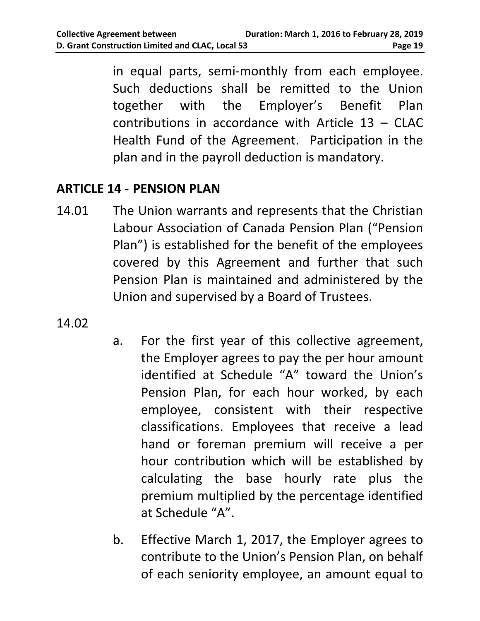in equal parts, semi-monthly from each employee. Such deductions shall be remitted to the Union together with the Employer's Benefit Plan contributions in accordance with Article 13 – CLAC Health Fund of the Agreement. Participation in the plan and in the payroll deduction is mandatory.

# <span id="page-22-0"></span>**ARTICLE 14 - PENSION PLAN**

- 14.01 The Union warrants and represents that the Christian Labour Association of Canada Pension Plan ("Pension Plan") is established for the benefit of the employees covered by this Agreement and further that such Pension Plan is maintained and administered by the Union and supervised by a Board of Trustees.
- <span id="page-22-1"></span>14.02
- a. For the first year of this collective agreement, the Employer agrees to pay the per hour amount identified at Schedule "A" toward the Union's Pension Plan, for each hour worked, by each employee, consistent with their respective classifications. Employees that receive a lead hand or foreman premium will receive a per hour contribution which will be established by calculating the base hourly rate plus the premium multiplied by the percentage identified at Schedule "A".
- b. Effective March 1, 2017, the Employer agrees to contribute to the Union's Pension Plan, on behalf of each seniority employee, an amount equal to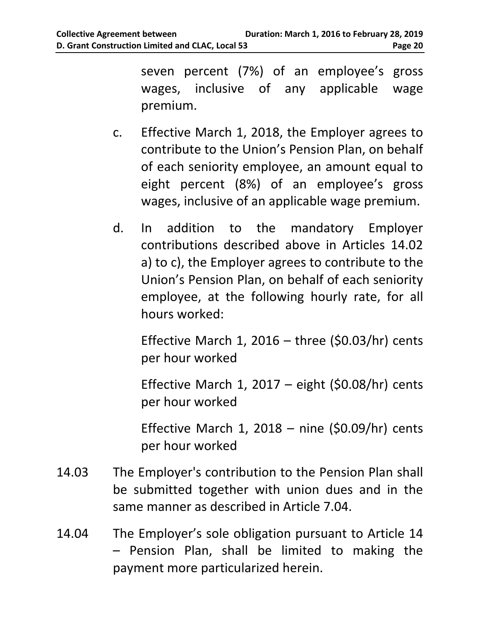seven percent (7%) of an employee's gross wages, inclusive of any applicable wage premium.

- c. Effective March 1, 2018, the Employer agrees to contribute to the Union's Pension Plan, on behalf of each seniority employee, an amount equal to eight percent (8%) of an employee's gross wages, inclusive of an applicable wage premium.
- d. In addition to the mandatory Employer contributions described above in Articles 14.02 a) to c), the Employer agrees to contribute to the Union's Pension Plan, on behalf of each seniority employee, at the following hourly rate, for all hours worked:

Effective March 1, 2016 – three  $(50.03/hr)$  cents per hour worked

Effective March 1, 2017 – eight  $(50.08/hr)$  cents per hour worked

Effective March 1, 2018 – nine  $(50.09/hr)$  cents per hour worked

- 14.03 The Employer's contribution to the Pension Plan shall be submitted together with union dues and in the same manner as described in Article 7.04.
- 14.04 The Employer's sole obligation pursuant to Article 14 – Pension Plan, shall be limited to making the payment more particularized herein.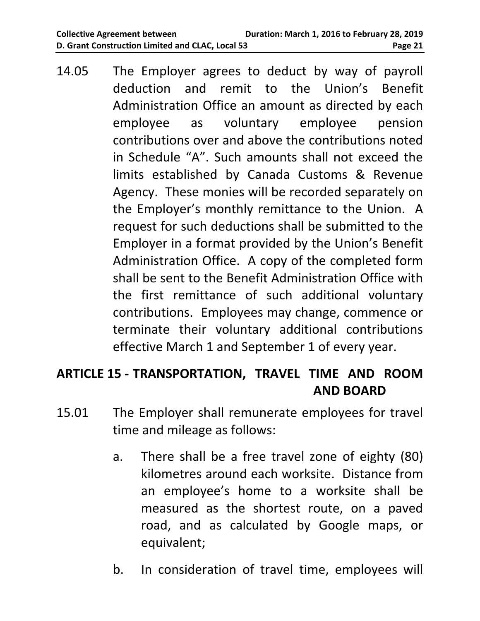14.05 The Employer agrees to deduct by way of payroll deduction and remit to the Union's Benefit Administration Office an amount as directed by each employee as voluntary employee pension contributions over and above the contributions noted in Schedule "A". Such amounts shall not exceed the limits established by Canada Customs & Revenue Agency. These monies will be recorded separately on the Employer's monthly remittance to the Union. A request for such deductions shall be submitted to the Employer in a format provided by the Union's Benefit Administration Office. A copy of the completed form shall be sent to the Benefit Administration Office with the first remittance of such additional voluntary contributions. Employees may change, commence or terminate their voluntary additional contributions effective March 1 and September 1 of every year.

## <span id="page-24-0"></span>**ARTICLE 15 - TRANSPORTATION, TRAVEL TIME AND ROOM AND BOARD**

- 15.01 The Employer shall remunerate employees for travel time and mileage as follows:
	- a. There shall be a free travel zone of eighty (80) kilometres around each worksite. Distance from an employee's home to a worksite shall be measured as the shortest route, on a paved road, and as calculated by Google maps, or equivalent;
	- b. In consideration of travel time, employees will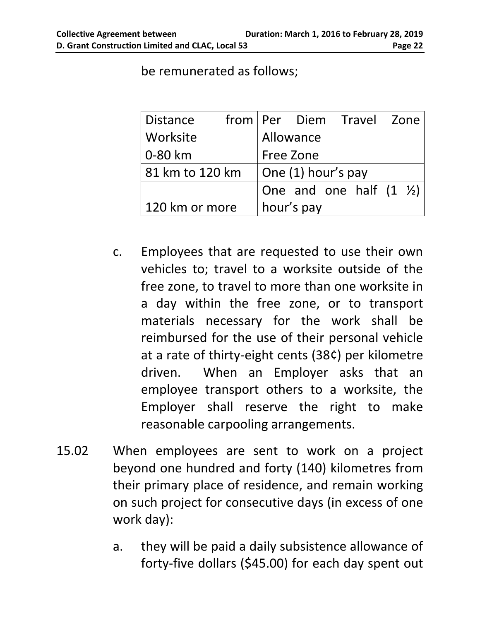| <b>Distance</b> |                            |  | from   Per Diem Travel Zone         |  |  |  |  |
|-----------------|----------------------------|--|-------------------------------------|--|--|--|--|
| Worksite        |                            |  | Allowance                           |  |  |  |  |
| 0-80 km         |                            |  | Free Zone                           |  |  |  |  |
| 81 km to 120 km | $\vert$ One (1) hour's pay |  |                                     |  |  |  |  |
|                 |                            |  | One and one half $(1 \tfrac{1}{2})$ |  |  |  |  |
| 120 km or more  |                            |  | hour's pay                          |  |  |  |  |

be remunerated as follows;

- c. Employees that are requested to use their own vehicles to; travel to a worksite outside of the free zone, to travel to more than one worksite in a day within the free zone, or to transport materials necessary for the work shall be reimbursed for the use of their personal vehicle at a rate of thirty-eight cents (38¢) per kilometre driven. When an Employer asks that an employee transport others to a worksite, the Employer shall reserve the right to make reasonable carpooling arrangements.
- 15.02 When employees are sent to work on a project beyond one hundred and forty (140) kilometres from their primary place of residence, and remain working on such project for consecutive days (in excess of one work day):
	- a. they will be paid a daily subsistence allowance of forty-five dollars (\$45.00) for each day spent out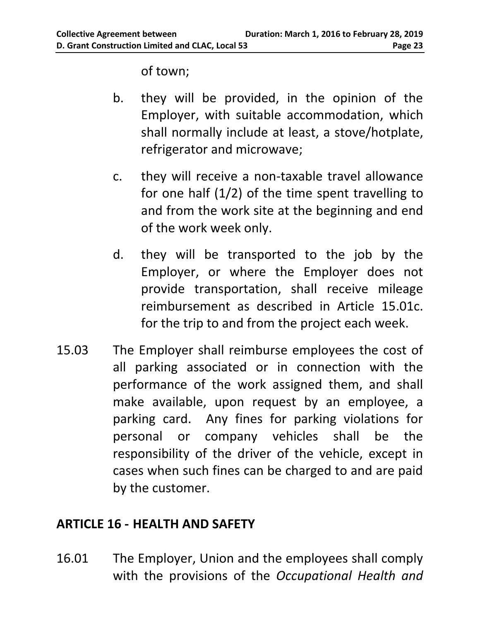of town;

- b. they will be provided, in the opinion of the Employer, with suitable accommodation, which shall normally include at least, a stove/hotplate, refrigerator and microwave;
- c. they will receive a non-taxable travel allowance for one half  $(1/2)$  of the time spent travelling to and from the work site at the beginning and end of the work week only.
- d. they will be transported to the job by the Employer, or where the Employer does not provide transportation, shall receive mileage reimbursement as described in Article 15.01c. for the trip to and from the project each week.
- 15.03 The Employer shall reimburse employees the cost of all parking associated or in connection with the performance of the work assigned them, and shall make available, upon request by an employee, a parking card. Any fines for parking violations for personal or company vehicles shall be the responsibility of the driver of the vehicle, except in cases when such fines can be charged to and are paid by the customer.

## <span id="page-26-0"></span>**ARTICLE 16 - HEALTH AND SAFETY**

16.01 The Employer, Union and the employees shall comply with the provisions of the *Occupational Health and*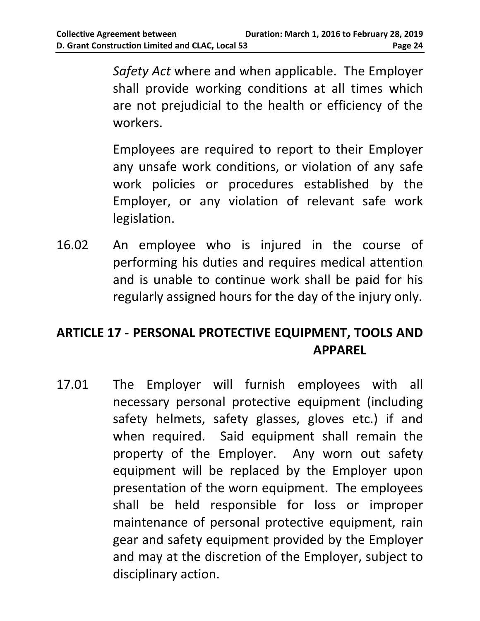*Safety Act* where and when applicable. The Employer shall provide working conditions at all times which are not prejudicial to the health or efficiency of the workers.

Employees are required to report to their Employer any unsafe work conditions, or violation of any safe work policies or procedures established by the Employer, or any violation of relevant safe work legislation.

16.02 An employee who is injured in the course of performing his duties and requires medical attention and is unable to continue work shall be paid for his regularly assigned hours for the day of the injury only.

# <span id="page-27-0"></span>**ARTICLE 17 - PERSONAL PROTECTIVE EQUIPMENT, TOOLS AND APPAREL**

17.01 The Employer will furnish employees with all necessary personal protective equipment (including safety helmets, safety glasses, gloves etc.) if and when required. Said equipment shall remain the property of the Employer. Any worn out safety equipment will be replaced by the Employer upon presentation of the worn equipment. The employees shall be held responsible for loss or improper maintenance of personal protective equipment, rain gear and safety equipment provided by the Employer and may at the discretion of the Employer, subject to disciplinary action.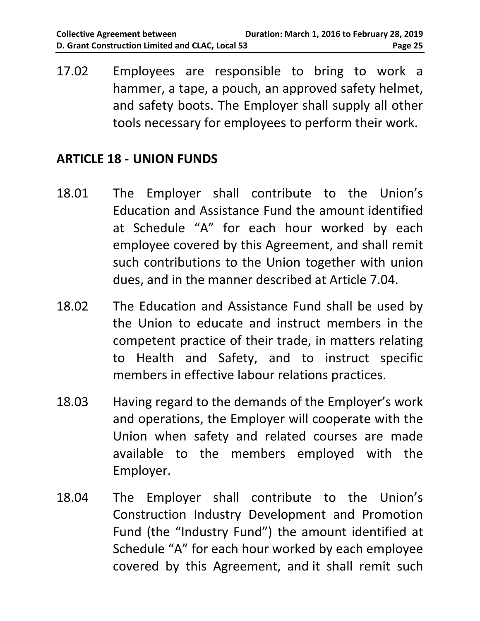17.02 Employees are responsible to bring to work a hammer, a tape, a pouch, an approved safety helmet, and safety boots. The Employer shall supply all other tools necessary for employees to perform their work.

#### <span id="page-28-0"></span>**ARTICLE 18 - UNION FUNDS**

- 18.01 The Employer shall contribute to the Union's Education and Assistance Fund the amount identified at Schedule "A" for each hour worked by each employee covered by this Agreement, and shall remit such contributions to the Union together with union dues, and in the manner described at Article 7.04.
- 18.02 The Education and Assistance Fund shall be used by the Union to educate and instruct members in the competent practice of their trade, in matters relating to Health and Safety, and to instruct specific members in effective labour relations practices.
- 18.03 Having regard to the demands of the Employer's work and operations, the Employer will cooperate with the Union when safety and related courses are made available to the members employed with the Employer.
- 18.04 The Employer shall contribute to the Union's Construction Industry Development and Promotion Fund (the "Industry Fund") the amount identified at Schedule "A" for each hour worked by each employee covered by this Agreement, and it shall remit such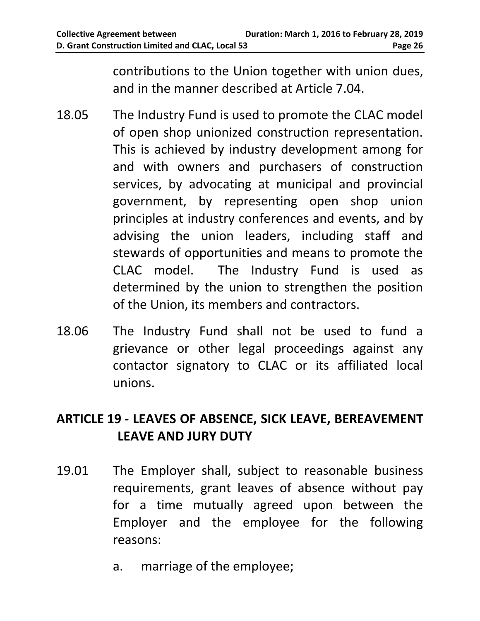contributions to the Union together with union dues, and in the manner described at Article 7.04.

- 18.05 The Industry Fund is used to promote the CLAC model of open shop unionized construction representation. This is achieved by industry development among for and with owners and purchasers of construction services, by advocating at municipal and provincial government, by representing open shop union principles at industry conferences and events, and by advising the union leaders, including staff and stewards of opportunities and means to promote the CLAC model. The Industry Fund is used as determined by the union to strengthen the position of the Union, its members and contractors.
- 18.06 The Industry Fund shall not be used to fund a grievance or other legal proceedings against any contactor signatory to CLAC or its affiliated local unions.

# <span id="page-29-0"></span>**ARTICLE 19 - LEAVES OF ABSENCE, SICK LEAVE, BEREAVEMENT LEAVE AND JURY DUTY**

- 19.01 The Employer shall, subject to reasonable business requirements, grant leaves of absence without pay for a time mutually agreed upon between the Employer and the employee for the following reasons:
	- a. marriage of the employee;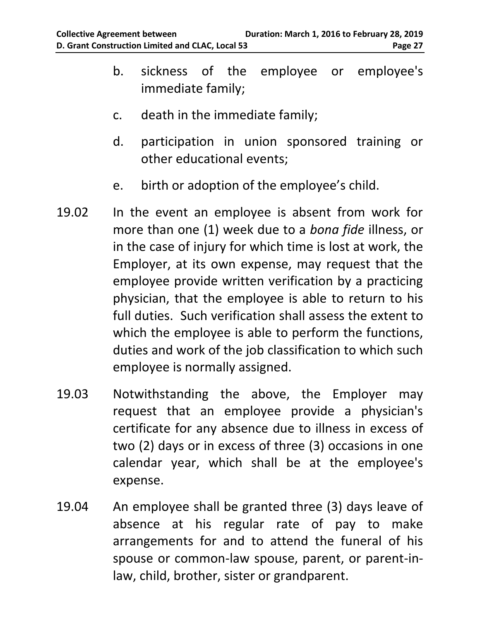- b. sickness of the employee or employee's immediate family;
- c. death in the immediate family;
- d. participation in union sponsored training or other educational events;
- e. birth or adoption of the employee's child.
- 19.02 In the event an employee is absent from work for more than one (1) week due to a *bona fide* illness, or in the case of injury for which time is lost at work, the Employer, at its own expense, may request that the employee provide written verification by a practicing physician, that the employee is able to return to his full duties. Such verification shall assess the extent to which the employee is able to perform the functions, duties and work of the job classification to which such employee is normally assigned.
- 19.03 Notwithstanding the above, the Employer may request that an employee provide a physician's certificate for any absence due to illness in excess of two (2) days or in excess of three (3) occasions in one calendar year, which shall be at the employee's expense.
- 19.04 An employee shall be granted three (3) days leave of absence at his regular rate of pay to make arrangements for and to attend the funeral of his spouse or common-law spouse, parent, or parent-inlaw, child, brother, sister or grandparent.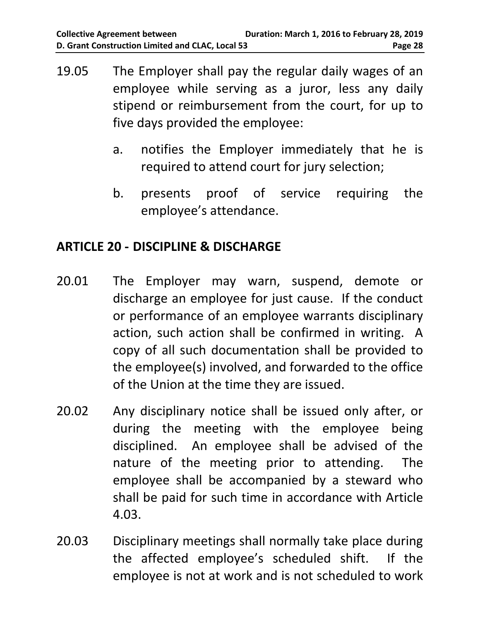- 19.05 The Employer shall pay the regular daily wages of an employee while serving as a juror, less any daily stipend or reimbursement from the court, for up to five days provided the employee:
	- a. notifies the Employer immediately that he is required to attend court for jury selection;
	- b. presents proof of service requiring the employee's attendance.

## <span id="page-31-0"></span>**ARTICLE 20 - DISCIPLINE & DISCHARGE**

- 20.01 The Employer may warn, suspend, demote or discharge an employee for just cause. If the conduct or performance of an employee warrants disciplinary action, such action shall be confirmed in writing. A copy of all such documentation shall be provided to the employee(s) involved, and forwarded to the office of the Union at the time they are issued.
- 20.02 Any disciplinary notice shall be issued only after, or during the meeting with the employee being disciplined. An employee shall be advised of the nature of the meeting prior to attending. The employee shall be accompanied by a steward who shall be paid for such time in accordance with Article 4.03.
- 20.03 Disciplinary meetings shall normally take place during the affected employee's scheduled shift. If the employee is not at work and is not scheduled to work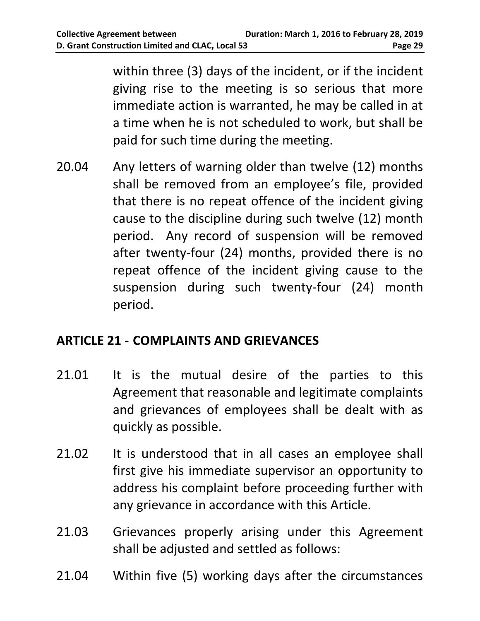within three (3) days of the incident, or if the incident giving rise to the meeting is so serious that more immediate action is warranted, he may be called in at a time when he is not scheduled to work, but shall be paid for such time during the meeting.

20.04 Any letters of warning older than twelve (12) months shall be removed from an employee's file, provided that there is no repeat offence of the incident giving cause to the discipline during such twelve (12) month period. Any record of suspension will be removed after twenty-four (24) months, provided there is no repeat offence of the incident giving cause to the suspension during such twenty-four (24) month period.

# <span id="page-32-0"></span>**ARTICLE 21 - COMPLAINTS AND GRIEVANCES**

- 21.01 It is the mutual desire of the parties to this Agreement that reasonable and legitimate complaints and grievances of employees shall be dealt with as quickly as possible.
- 21.02 It is understood that in all cases an employee shall first give his immediate supervisor an opportunity to address his complaint before proceeding further with any grievance in accordance with this Article.
- 21.03 Grievances properly arising under this Agreement shall be adjusted and settled as follows:
- 21.04 Within five (5) working days after the circumstances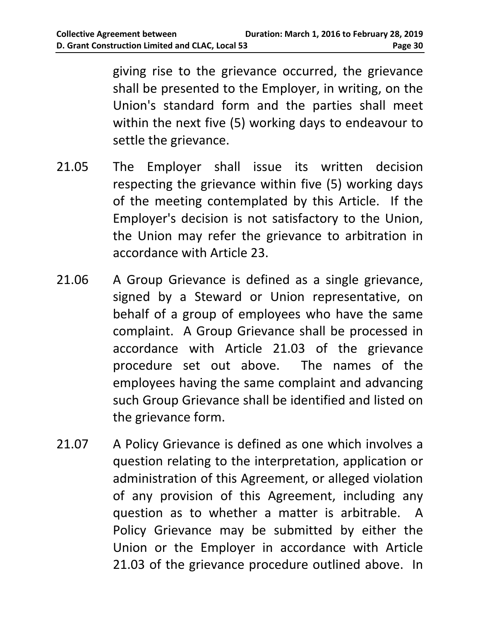giving rise to the grievance occurred, the grievance shall be presented to the Employer, in writing, on the Union's standard form and the parties shall meet within the next five (5) working days to endeavour to settle the grievance.

- 21.05 The Employer shall issue its written decision respecting the grievance within five (5) working days of the meeting contemplated by this Article. If the Employer's decision is not satisfactory to the Union, the Union may refer the grievance to arbitration in accordance with Article 23.
- 21.06 A Group Grievance is defined as a single grievance, signed by a Steward or Union representative, on behalf of a group of employees who have the same complaint. A Group Grievance shall be processed in accordance with Article 21.03 of the grievance procedure set out above. The names of the employees having the same complaint and advancing such Group Grievance shall be identified and listed on the grievance form.
- 21.07 A Policy Grievance is defined as one which involves a question relating to the interpretation, application or administration of this Agreement, or alleged violation of any provision of this Agreement, including any question as to whether a matter is arbitrable. A Policy Grievance may be submitted by either the Union or the Employer in accordance with Article 21.03 of the grievance procedure outlined above. In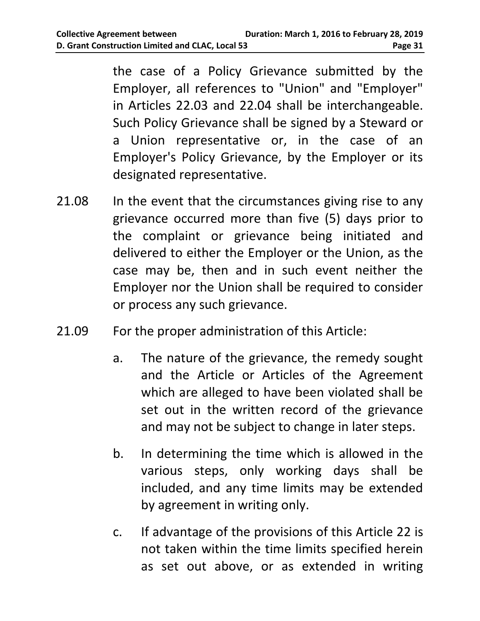the case of a Policy Grievance submitted by the Employer, all references to "Union" and "Employer" in Articles 22.03 and 22.04 shall be interchangeable. Such Policy Grievance shall be signed by a Steward or a Union representative or, in the case of an Employer's Policy Grievance, by the Employer or its designated representative.

- 21.08 In the event that the circumstances giving rise to any grievance occurred more than five (5) days prior to the complaint or grievance being initiated and delivered to either the Employer or the Union, as the case may be, then and in such event neither the Employer nor the Union shall be required to consider or process any such grievance.
- 21.09 For the proper administration of this Article:
	- a. The nature of the grievance, the remedy sought and the Article or Articles of the Agreement which are alleged to have been violated shall be set out in the written record of the grievance and may not be subject to change in later steps.
	- b. In determining the time which is allowed in the various steps, only working days shall be included, and any time limits may be extended by agreement in writing only.
	- c. If advantage of the provisions of this Article 22 is not taken within the time limits specified herein as set out above, or as extended in writing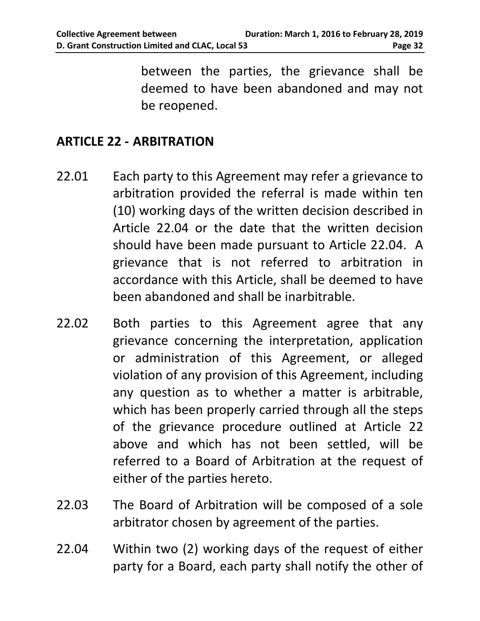between the parties, the grievance shall be deemed to have been abandoned and may not be reopened.

#### <span id="page-35-0"></span>**ARTICLE 22 - ARBITRATION**

- 22.01 Each party to this Agreement may refer a grievance to arbitration provided the referral is made within ten (10) working days of the written decision described in Article 22.04 or the date that the written decision should have been made pursuant to Article 22.04. A grievance that is not referred to arbitration in accordance with this Article, shall be deemed to have been abandoned and shall be inarbitrable.
- 22.02 Both parties to this Agreement agree that any grievance concerning the interpretation, application or administration of this Agreement, or alleged violation of any provision of this Agreement, including any question as to whether a matter is arbitrable, which has been properly carried through all the steps of the grievance procedure outlined at Article 22 above and which has not been settled, will be referred to a Board of Arbitration at the request of either of the parties hereto.
- 22.03 The Board of Arbitration will be composed of a sole arbitrator chosen by agreement of the parties.
- 22.04 Within two (2) working days of the request of either party for a Board, each party shall notify the other of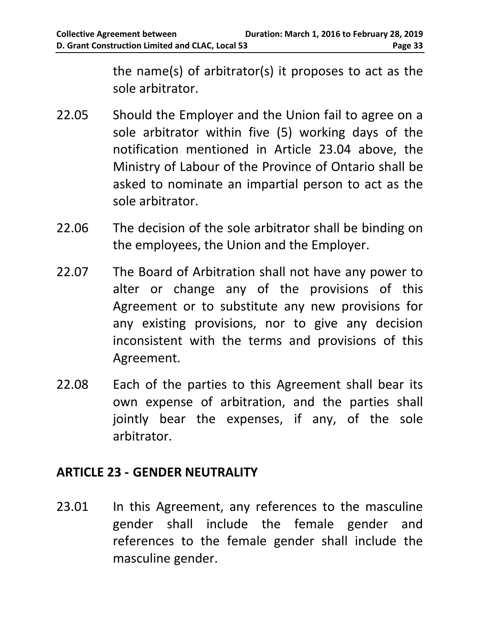the name(s) of arbitrator(s) it proposes to act as the sole arbitrator.

- 22.05 Should the Employer and the Union fail to agree on a sole arbitrator within five (5) working days of the notification mentioned in Article 23.04 above, the Ministry of Labour of the Province of Ontario shall be asked to nominate an impartial person to act as the sole arbitrator.
- 22.06 The decision of the sole arbitrator shall be binding on the employees, the Union and the Employer.
- 22.07 The Board of Arbitration shall not have any power to alter or change any of the provisions of this Agreement or to substitute any new provisions for any existing provisions, nor to give any decision inconsistent with the terms and provisions of this Agreement.
- 22.08 Each of the parties to this Agreement shall bear its own expense of arbitration, and the parties shall jointly bear the expenses, if any, of the sole arbitrator.

#### <span id="page-36-0"></span>**ARTICLE 23 - GENDER NEUTRALITY**

23.01 In this Agreement, any references to the masculine gender shall include the female gender and references to the female gender shall include the masculine gender.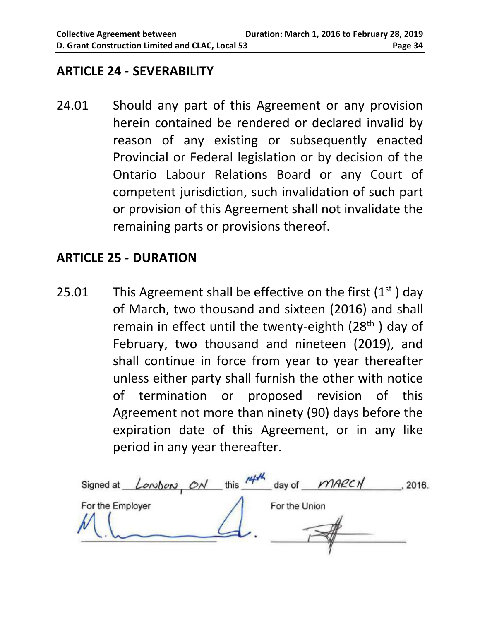#### <span id="page-37-0"></span>**ARTICLE 24 - SEVERABILITY**

24.01 Should any part of this Agreement or any provision herein contained be rendered or declared invalid by reason of any existing or subsequently enacted Provincial or Federal legislation or by decision of the Ontario Labour Relations Board or any Court of competent jurisdiction, such invalidation of such part or provision of this Agreement shall not invalidate the remaining parts or provisions thereof.

#### <span id="page-37-1"></span>**ARTICLE 25 - DURATION**

25.01 This Agreement shall be effective on the first  $(1<sup>st</sup>)$  day of March, two thousand and sixteen (2016) and shall remain in effect until the twenty-eighth (28<sup>th</sup>) day of February, two thousand and nineteen (2019), and shall continue in force from year to year thereafter unless either party shall furnish the other with notice of termination or proposed revision of this Agreement not more than ninety (90) days before the expiration date of this Agreement, or in any like period in any year thereafter.

London, ON this 14th day of MARCH Signed at 2016. For the Employer For the Union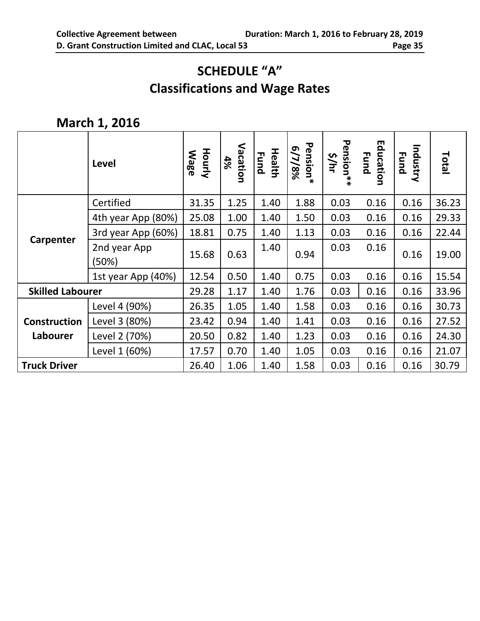# **SCHEDULE "A" Classifications and Wage Rates**

## <span id="page-38-0"></span>**March 1, 2016**

|                         | Level                 | <b>Hourly</b><br><b>Wage</b> | Vacation<br>4% | <b>Health</b><br>Fund | Pension*<br>6/7/8% | <b>Pension</b><br><b>S/hr</b><br>$*$ | Education<br><b>Fund</b> | Industry<br><b>Fund</b> | Total |
|-------------------------|-----------------------|------------------------------|----------------|-----------------------|--------------------|--------------------------------------|--------------------------|-------------------------|-------|
|                         | Certified             | 31.35                        | 1.25           | 1.40                  | 1.88               | 0.03                                 | 0.16                     | 0.16                    | 36.23 |
|                         | 4th year App (80%)    | 25.08                        | 1.00           | 1.40                  | 1.50               | 0.03                                 | 0.16                     | 0.16                    | 29.33 |
| Carpenter               | 3rd year App (60%)    | 18.81                        | 0.75           | 1.40                  | 1.13               | 0.03                                 | 0.16                     | 0.16                    | 22.44 |
|                         | 2nd year App<br>(50%) | 15.68                        | 0.63           | 1.40                  | 0.94               | 0.03                                 | 0.16                     | 0.16                    | 19.00 |
|                         | 1st year App (40%)    | 12.54                        | 0.50           | 1.40                  | 0.75               | 0.03                                 | 0.16                     | 0.16                    | 15.54 |
| <b>Skilled Labourer</b> |                       | 29.28                        | 1.17           | 1.40                  | 1.76               | 0.03                                 | 0.16                     | 0.16                    | 33.96 |
|                         | Level 4 (90%)         | 26.35                        | 1.05           | 1.40                  | 1.58               | 0.03                                 | 0.16                     | 0.16                    | 30.73 |
| <b>Construction</b>     | Level 3 (80%)         | 23.42                        | 0.94           | 1.40                  | 1.41               | 0.03                                 | 0.16                     | 0.16                    | 27.52 |
| Labourer                | Level 2 (70%)         | 20.50                        | 0.82           | 1.40                  | 1.23               | 0.03                                 | 0.16                     | 0.16                    | 24.30 |
|                         | Level 1 (60%)         | 17.57                        | 0.70           | 1.40                  | 1.05               | 0.03                                 | 0.16                     | 0.16                    | 21.07 |
| <b>Truck Driver</b>     |                       | 26.40                        | 1.06           | 1.40                  | 1.58               | 0.03                                 | 0.16                     | 0.16                    | 30.79 |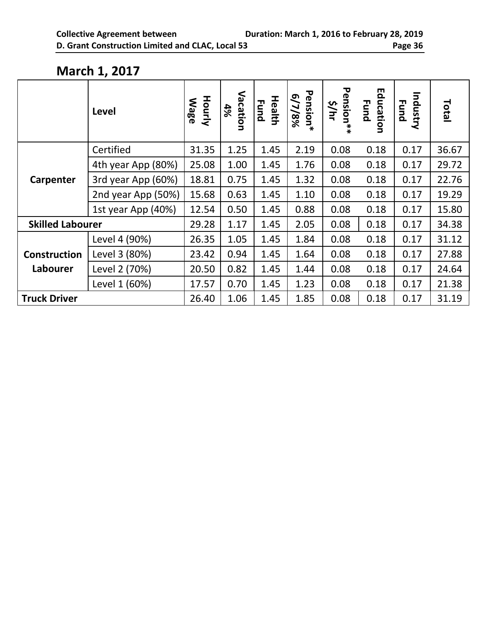#### **March 1, 2017**

|                         | Level              | <b>Hourly</b><br><b>Mage</b> | Vacation<br>4% | <b>Health</b><br>Fund | Pension*<br>6/7/8% | <b>Pension</b><br><b>s/hr</b><br>ิ∗<br>$\ast$ | Education<br><b>Fund</b> | Industry<br><b>Fund</b> | Total |
|-------------------------|--------------------|------------------------------|----------------|-----------------------|--------------------|-----------------------------------------------|--------------------------|-------------------------|-------|
|                         | Certified          | 31.35                        | 1.25           | 1.45                  | 2.19               | 0.08                                          | 0.18                     | 0.17                    | 36.67 |
|                         | 4th year App (80%) | 25.08                        | 1.00           | 1.45                  | 1.76               | 0.08                                          | 0.18                     | 0.17                    | 29.72 |
| Carpenter               | 3rd year App (60%) | 18.81                        | 0.75           | 1.45                  | 1.32               | 0.08                                          | 0.18                     | 0.17                    | 22.76 |
|                         | 2nd year App (50%) | 15.68                        | 0.63           | 1.45                  | 1.10               | 0.08                                          | 0.18                     | 0.17                    | 19.29 |
|                         | 1st year App (40%) | 12.54                        | 0.50           | 1.45                  | 0.88               | 0.08                                          | 0.18                     | 0.17                    | 15.80 |
| <b>Skilled Labourer</b> |                    | 29.28                        | 1.17           | 1.45                  | 2.05               | 0.08                                          | 0.18                     | 0.17                    | 34.38 |
|                         | Level 4 (90%)      | 26.35                        | 1.05           | 1.45                  | 1.84               | 0.08                                          | 0.18                     | 0.17                    | 31.12 |
| <b>Construction</b>     | Level 3 (80%)      | 23.42                        | 0.94           | 1.45                  | 1.64               | 0.08                                          | 0.18                     | 0.17                    | 27.88 |
| Labourer                | Level 2 (70%)      | 20.50                        | 0.82           | 1.45                  | 1.44               | 0.08                                          | 0.18                     | 0.17                    | 24.64 |
|                         | Level 1 (60%)      | 17.57                        | 0.70           | 1.45                  | 1.23               | 0.08                                          | 0.18                     | 0.17                    | 21.38 |
| <b>Truck Driver</b>     |                    | 26.40                        | 1.06           | 1.45                  | 1.85               | 0.08                                          | 0.18                     | 0.17                    | 31.19 |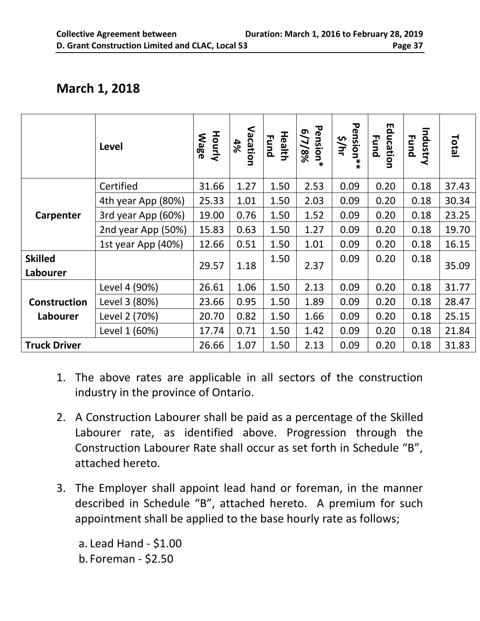|                     | Level              | <b>Hourly</b><br><b>Mage</b> | Vacation<br>4% | <b>Health</b><br><b>Fund</b> | Pension*<br>6/7/8% | ᠊ᢦ<br>ension**<br>s/hr | Education<br><b>Fund</b> | Industry<br><b>Fund</b> | Total |
|---------------------|--------------------|------------------------------|----------------|------------------------------|--------------------|------------------------|--------------------------|-------------------------|-------|
|                     | Certified          | 31.66                        | 1.27           | 1.50                         | 2.53               | 0.09                   | 0.20                     | 0.18                    | 37.43 |
|                     | 4th year App (80%) | 25.33                        | 1.01           | 1.50                         | 2.03               | 0.09                   | 0.20                     | 0.18                    | 30.34 |
| Carpenter           | 3rd year App (60%) | 19.00                        | 0.76           | 1.50                         | 1.52               | 0.09                   | 0.20                     | 0.18                    | 23.25 |
|                     | 2nd year App (50%) | 15.83                        | 0.63           | 1.50                         | 1.27               | 0.09                   | 0.20                     | 0.18                    | 19.70 |
|                     | 1st year App (40%) | 12.66                        | 0.51           | 1.50                         | 1.01               | 0.09                   | 0.20                     | 0.18                    | 16.15 |
| <b>Skilled</b>      |                    | 29.57                        | 1.18           | 1.50                         | 2.37               | 0.09                   | 0.20                     | 0.18                    | 35.09 |
| Labourer            |                    |                              |                |                              |                    |                        |                          |                         |       |
|                     | Level 4 (90%)      | 26.61                        | 1.06           | 1.50                         | 2.13               | 0.09                   | 0.20                     | 0.18                    | 31.77 |
| Construction        | Level 3 (80%)      | 23.66                        | 0.95           | 1.50                         | 1.89               | 0.09                   | 0.20                     | 0.18                    | 28.47 |
| Labourer            | Level 2 (70%)      | 20.70                        | 0.82           | 1.50                         | 1.66               | 0.09                   | 0.20                     | 0.18                    | 25.15 |
|                     | Level 1 (60%)      | 17.74                        | 0.71           | 1.50                         | 1.42               | 0.09                   | 0.20                     | 0.18                    | 21.84 |
| <b>Truck Driver</b> |                    | 26.66                        | 1.07           | 1.50                         | 2.13               | 0.09                   | 0.20                     | 0.18                    | 31.83 |

- 1. The above rates are applicable in all sectors of the construction industry in the province of Ontario.
- 2. A Construction Labourer shall be paid as a percentage of the Skilled Labourer rate, as identified above. Progression through the Construction Labourer Rate shall occur as set forth in Schedule "B", attached hereto.
- 3. The Employer shall appoint lead hand or foreman, in the manner described in Schedule "B", attached hereto. A premium for such appointment shall be applied to the base hourly rate as follows;

a. Lead Hand - \$1.00 b. Foreman - \$2.50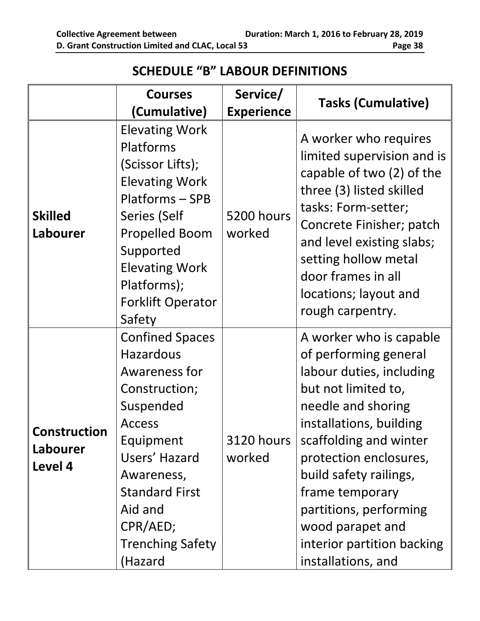#### **SCHEDULE "B" LABOUR DEFINITIONS**

<span id="page-41-0"></span>

|                                     | <b>Courses</b>                                                                                                                                                                                                                               | Service/                    | <b>Tasks (Cumulative)</b>                                                                                                                                                                                                                                                                                                                               |
|-------------------------------------|----------------------------------------------------------------------------------------------------------------------------------------------------------------------------------------------------------------------------------------------|-----------------------------|---------------------------------------------------------------------------------------------------------------------------------------------------------------------------------------------------------------------------------------------------------------------------------------------------------------------------------------------------------|
|                                     | (Cumulative)                                                                                                                                                                                                                                 | <b>Experience</b>           |                                                                                                                                                                                                                                                                                                                                                         |
| <b>Skilled</b><br>Labourer          | <b>Elevating Work</b><br>Platforms<br>(Scissor Lifts);<br><b>Elevating Work</b><br>Platforms - SPB<br>Series (Self<br><b>Propelled Boom</b><br>Supported<br><b>Elevating Work</b><br>Platforms);<br><b>Forklift Operator</b><br>Safety       | 5200 hours<br>worked        | A worker who requires<br>limited supervision and is<br>capable of two (2) of the<br>three (3) listed skilled<br>tasks: Form-setter;<br>Concrete Finisher; patch<br>and level existing slabs;<br>setting hollow metal<br>door frames in all<br>locations; layout and<br>rough carpentry.                                                                 |
| Construction<br>Labourer<br>Level 4 | <b>Confined Spaces</b><br><b>Hazardous</b><br>Awareness for<br>Construction;<br>Suspended<br><b>Access</b><br>Equipment<br>Users' Hazard<br>Awareness,<br><b>Standard First</b><br>Aid and<br>CPR/AED;<br><b>Trenching Safety</b><br>(Hazard | <b>3120 hours</b><br>worked | A worker who is capable<br>of performing general<br>labour duties, including<br>but not limited to,<br>needle and shoring<br>installations, building<br>scaffolding and winter<br>protection enclosures,<br>build safety railings,<br>frame temporary<br>partitions, performing<br>wood parapet and<br>interior partition backing<br>installations, and |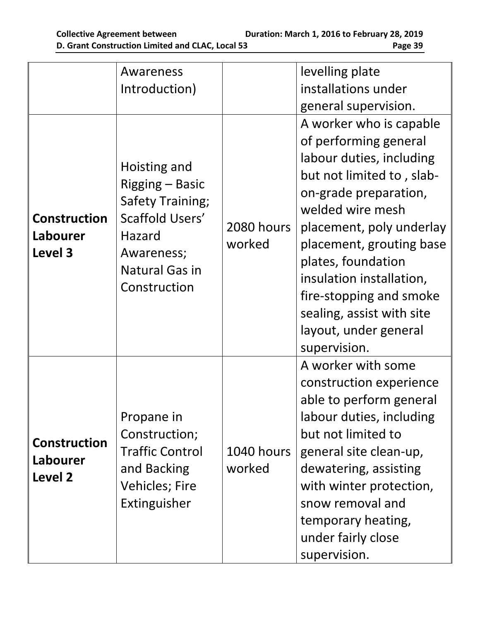|                                            | Awareness<br>Introduction)                                                                                                                     |                      | levelling plate<br>installations under<br>general supervision.                                                                                                                                                                                                                                                                                                    |
|--------------------------------------------|------------------------------------------------------------------------------------------------------------------------------------------------|----------------------|-------------------------------------------------------------------------------------------------------------------------------------------------------------------------------------------------------------------------------------------------------------------------------------------------------------------------------------------------------------------|
| <b>Construction</b><br>Labourer<br>Level 3 | Hoisting and<br>Rigging – Basic<br><b>Safety Training;</b><br>Scaffold Users'<br>Hazard<br>Awareness;<br><b>Natural Gas in</b><br>Construction | 2080 hours<br>worked | A worker who is capable<br>of performing general<br>labour duties, including<br>but not limited to, slab-<br>on-grade preparation,<br>welded wire mesh<br>placement, poly underlay<br>placement, grouting base<br>plates, foundation<br>insulation installation,<br>fire-stopping and smoke<br>sealing, assist with site<br>layout, under general<br>supervision. |
| <b>Construction</b><br>Labourer<br>Level 2 | Propane in<br>Construction;<br><b>Traffic Control</b><br>and Backing<br><b>Vehicles; Fire</b><br>Extinguisher                                  | 1040 hours<br>worked | A worker with some<br>construction experience<br>able to perform general<br>labour duties, including<br>but not limited to<br>general site clean-up,<br>dewatering, assisting<br>with winter protection,<br>snow removal and<br>temporary heating,<br>under fairly close<br>supervision.                                                                          |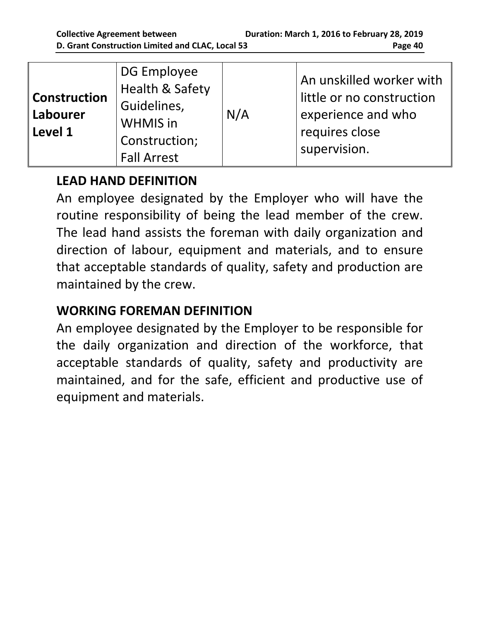# **LEAD HAND DEFINITION**

An employee designated by the Employer who will have the routine responsibility of being the lead member of the crew. The lead hand assists the foreman with daily organization and direction of labour, equipment and materials, and to ensure that acceptable standards of quality, safety and production are maintained by the crew.

# **WORKING FOREMAN DEFINITION**

An employee designated by the Employer to be responsible for the daily organization and direction of the workforce, that acceptable standards of quality, safety and productivity are maintained, and for the safe, efficient and productive use of equipment and materials.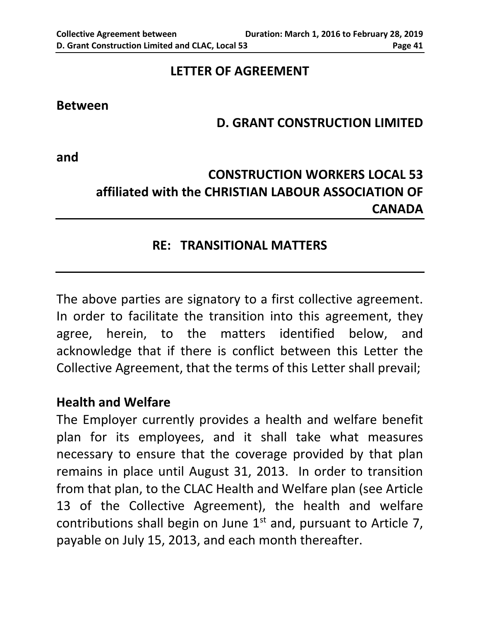#### **LETTER OF AGREEMENT**

#### <span id="page-44-0"></span>**Between**

#### **D. GRANT CONSTRUCTION LIMITED**

**and**

# **CONSTRUCTION WORKERS LOCAL 53 affiliated with the CHRISTIAN LABOUR ASSOCIATION OF CANADA**

#### **RE: TRANSITIONAL MATTERS**

The above parties are signatory to a first collective agreement. In order to facilitate the transition into this agreement, they agree, herein, to the matters identified below, and acknowledge that if there is conflict between this Letter the Collective Agreement, that the terms of this Letter shall prevail;

#### **Health and Welfare**

The Employer currently provides a health and welfare benefit plan for its employees, and it shall take what measures necessary to ensure that the coverage provided by that plan remains in place until August 31, 2013. In order to transition from that plan, to the CLAC Health and Welfare plan (see Article 13 of the Collective Agreement), the health and welfare contributions shall begin on June  $1<sup>st</sup>$  and, pursuant to Article 7, payable on July 15, 2013, and each month thereafter.